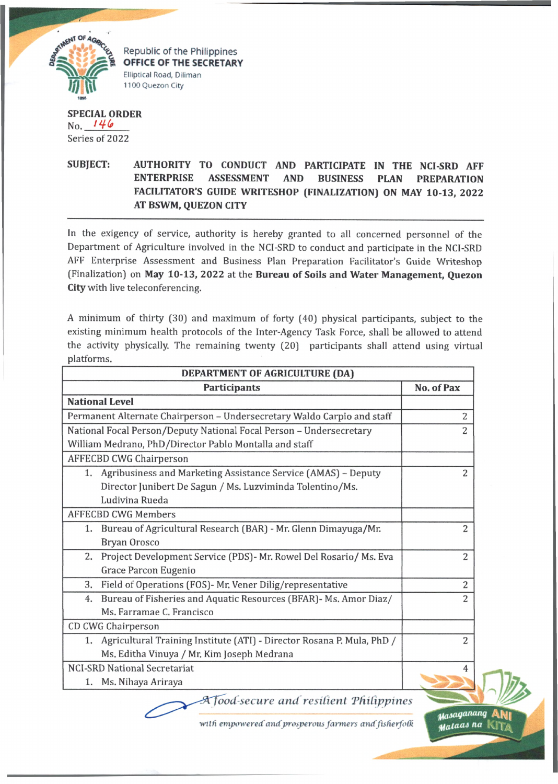

Republic of the Philippines **OFFICE OF THE SECRETARY Elliptical Road, Diliman 1100 Quezon City**

## **SPECIAL ORDER**  $No. 146$ Series of 2022

## **SUBJECT: AUTHORITY TO CONDUCT AND PARTICIPATE IN THE NCI-SRD AFF ENTERPRISE ASSESSMENT AND BUSINESS PLAN PREPARATION FACILITATOR'S GUIDE WRITESHOP (FINALIZATION) ON MAY 10-13, 2022 AT BSWM, QUEZON CITY**

In the exigency of service, authority is hereby granted to all concerned personnel of the Department of Agriculture involved in the NCI-SRD to conduct and participate in the NCI-SRD AFF Enterprise Assessment and Business Plan Preparation Facilitator's Guide Writeshop (Finalization) on **May 10-13, 2022** at the **Bureau of Soils and Water Management, Quezon City** with live teleconferencing.

A minimum of thirty (30) and maximum of forty (40) physical participants, subject to the existing minimum health protocols of the Inter-Agency Task Force, shall be allowed to attend the activity physically. The remaining twenty (20) participants shall attend using virtual platforms.

| DEPARTMENT OF AGRICULTURE (DA)                                            |                |
|---------------------------------------------------------------------------|----------------|
| <b>Participants</b>                                                       | No. of Pax     |
| <b>National Level</b>                                                     |                |
| Permanent Alternate Chairperson - Undersecretary Waldo Carpio and staff   | 2              |
| National Focal Person/Deputy National Focal Person - Undersecretary       | 2              |
| William Medrano, PhD/Director Pablo Montalla and staff                    |                |
| <b>AFFECBD CWG Chairperson</b>                                            |                |
| 1. Agribusiness and Marketing Assistance Service (AMAS) - Deputy          | 2              |
| Director Junibert De Sagun / Ms. Luzviminda Tolentino/Ms.                 |                |
| Ludivina Rueda                                                            |                |
| <b>AFFECBD CWG Members</b>                                                |                |
| Bureau of Agricultural Research (BAR) - Mr. Glenn Dimayuga/Mr.<br>1.      | 2              |
| Bryan Orosco                                                              |                |
| Project Development Service (PDS)- Mr. Rowel Del Rosario/ Ms. Eva<br>2.   | $\overline{2}$ |
| Grace Parcon Eugenio                                                      |                |
| Field of Operations (FOS)- Mr. Vener Dilig/representative<br>3.           | $\overline{c}$ |
| Bureau of Fisheries and Aquatic Resources (BFAR) - Ms. Amor Diaz/<br>4.   | $\overline{2}$ |
| Ms. Farramae C. Francisco                                                 |                |
| CD CWG Chairperson                                                        |                |
| 1. Agricultural Training Institute (ATI) - Director Rosana P. Mula, PhD / | 2              |
| Ms. Editha Vinuya / Mr. Kim Joseph Medrana                                |                |
| <b>NCI-SRD National Secretariat</b>                                       | 4              |
| Ms. Nihaya Ariraya<br>1.                                                  |                |
|                                                                           |                |

*ood-sccure and resilient 'Philippines*

with empowered and prosperous farmers and fisherfolk

*yaioqananq* **ANi** *na* kit\*